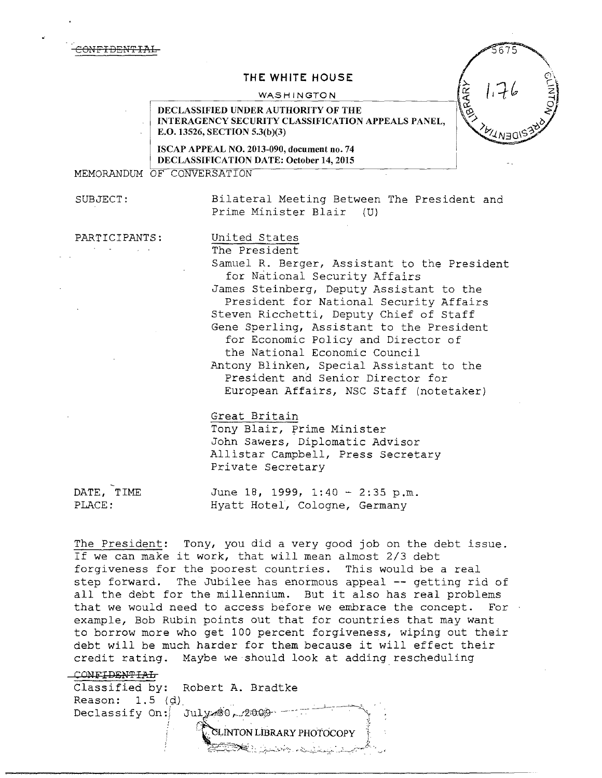# **THE WHITE HOUSE**

#### WASHINGTON



ISCAP APPEAL NO. 2013-090, document no. 74 DECLASSIFICATION DATE: October 14, 2015

MEMORANDUM OF CONVERSATION

SUBJECT: Bilateral Meeting Between The President and Prime Minister Blair (U)

PARTICIPANTS: United States

The President Samuel R. Berger, Assistant to the President for National Security Affairs James Steinberg, Deputy Assistant to the President for National Security Affairs Steven Ricchetti, Deputy Chief of Staff Gene Sperling, Assistant to the President for Economic Policy and Director of the National Economic Council Antony Blinken, Special Assistant to the President and Senior Director for European Affairs, NSC Staff (notetaker)

#### Great Britain

Tony Blair, Prime Minister John Sawers, Diplomatic Advisor Allistar Campbell, Press Secretary Private Secretary

DATE, TIME  $June 18$ , 1999, 1:40 - 2:35 p.m. PLACE: Hyatt Hotel, Cologne, Germany

The President: Tony, you did a very good job on the debt issue. If we can make it work, that will mean almost 2/3 debt forgiveness for the poorest countries. This would be a real step forward. The Jubilee has enormous appeal -- getting rid of all the debt for the millennium. But it also has real problems that we would need to access before we embrace the concept. For example, Bob Rubin points out that for countries that may want to borrow more who get 100 percent forgiveness, wiping out their debt will be much harder for them because it will effect their credit rating. Maybe we should look at adding rescheduling

~~~-::.~~~~: *:.*  ·. *\_}\_\_\_\_\_,:::\_-c;,:\_* -. .,, .

#### CONFIDENTIAL

Classified by: Robert A. Bradtke Reason:  $1.5$  (d)<br>Declassify On:  $Jully$   $-2009$ **LINTON LIBRARY PHOTOCOPY** 

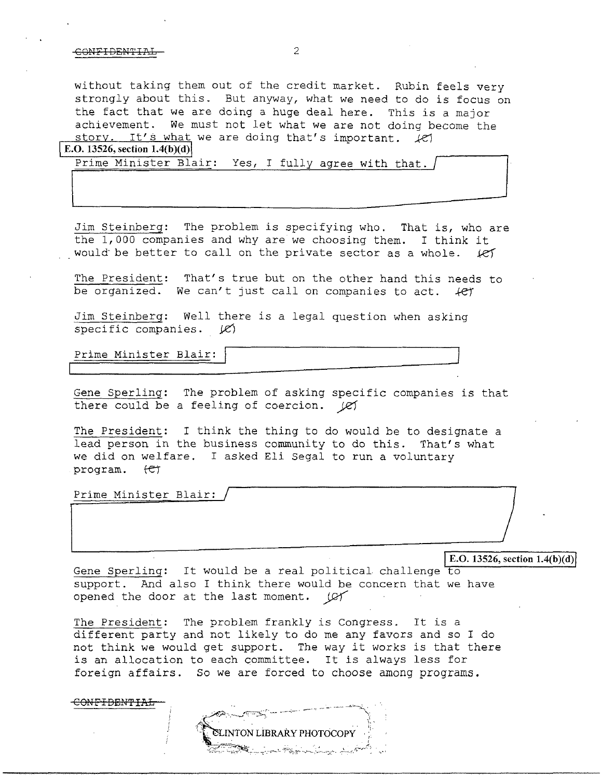without taking them out of the credit market. Rubin feels very strongly about this. But anyway, what we need to do is focus on the fact that we are doing a huge deal here. This is a major achievement. We must not let what we are not doing become the story. It's what we are doing that's important.  $\angle$ e) **E.O. 13526, section 1.4(b)(d)** 

Prime Minister Blair: Yes, I fully agree with that.

Jim Steinberg: The problem is specifying who. That is, who are the 1,000 companies and why are we choosing them. I think it would be better to call on the private sector as a whole.  $k$ ef

The President: That's true but on the other hand this needs to be organized. We can't just call on companies to act.  $+e^+$ 

Jim Steinberg: Well there is a legal question when asking specific companies.  $|C\rangle$ 

Prime Minister Blair:

Gene Sperling: The problem of asking specific companies is that there could be a feeling of coercion.  $|R|$ 

The President: I think the thing to do would be to designate a lead person in the business community to do this. That's what we did on welfare. I asked Eli Segal to run a voluntary program.  $\leftarrow$ 

Prime Minister Blair:

<sup>J</sup>E.O. **13526, section 1.4(b)(d)j** 

Gene Sperling: It would be a real political challenge to support. And also I think there would be concern that we have opened the door at the last moment. *(CY* 

The President: The problem frankly is Congress. It is a different party and not likely to do me any favors and so I do not think we would get support. The way it works is that there is an allocation to each committee. It is always less for foreign affairs. So we are forced to choose among programs.

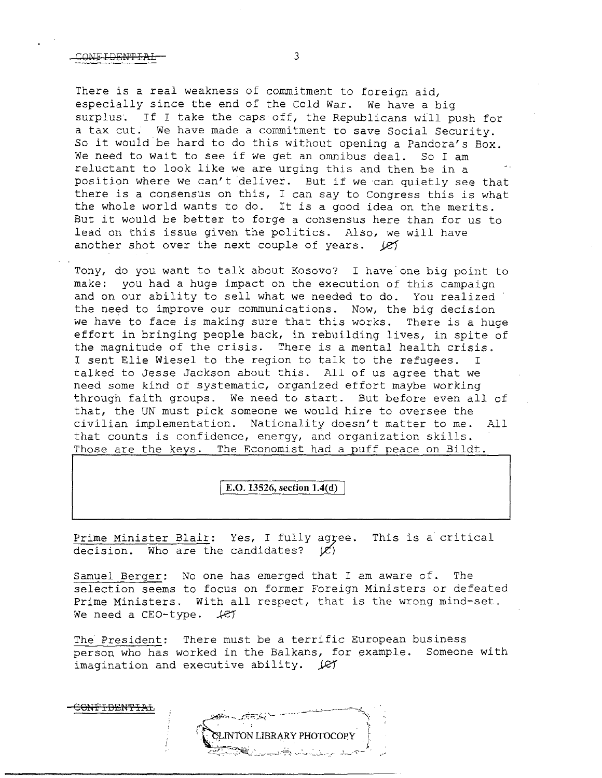There is a real weakness of commitment to foreign aid, especially since the end of the Cold War. *We* have a big surplus. If I take the caps off, the Republicans will push for a tax cut. We have made a commitment to save Social Security. So it would be hard to do this without opening a Pandora's Box.<br>We need to wait to see if we get an omnibus deal. So I am We need to wait to see if we get an omnibus deal. reluctant to look like we are urging this and then be in a position where we can't deliver. But if we can quietly see that there is a consensus on this, I can say to Congress this is what the whole world wants to do. It is a good idea on the merits. But it would be better to forge a consensus here than for us to lead on this issue given the politics. Also, we will have another shot over the next couple of years. *Vel* 

Tony, do you want to talk about Kosovo? I have one big point to make: you had a huge impact on the execution of this campaign and on our ability to sell what we needed to do. You realized the need to improve our communications. Now, the big decision we have to face is making sure that this works. There is a huge effort in bringing people back, in rebuilding lives, in spite of the magnitude of the crisis. There is a mental health crisis. I sent Elie Wiesel to the region to talk to the refugees. I talked to Jesse Jackson about this. All of us agree that we need some kind of systematic, organized effort maybe working through faith groups. We need to start. But before even all of that, the UN must pick someone we would hire to oversee the civilian implementation. Nationality doesn't matter to me. All that counts is confidence, energy, and organization skills. Those are the keys. The Economist had a puff peace on Bildt.

**E.O. 13526, section 1.4(d)** 

Prime Minister Blair: Yes, I fully agyee. This is a critical decision. Who are the candidates?  $(\mathcal{C})$ 

Samuel Berger: No one has emerged that I am aware of. The selection seems to focus on former Foreign Ministers or defeated Prime Ministers. With all respect, that is the wrong mind-set. *We need a CEO-type.*  $\text{\textit{LET}}$ 

The President: There must be a terrific European business person who has worked in the Balkans, for example. Someone with imagination and executive ability.  $\mathcal{L}$ 

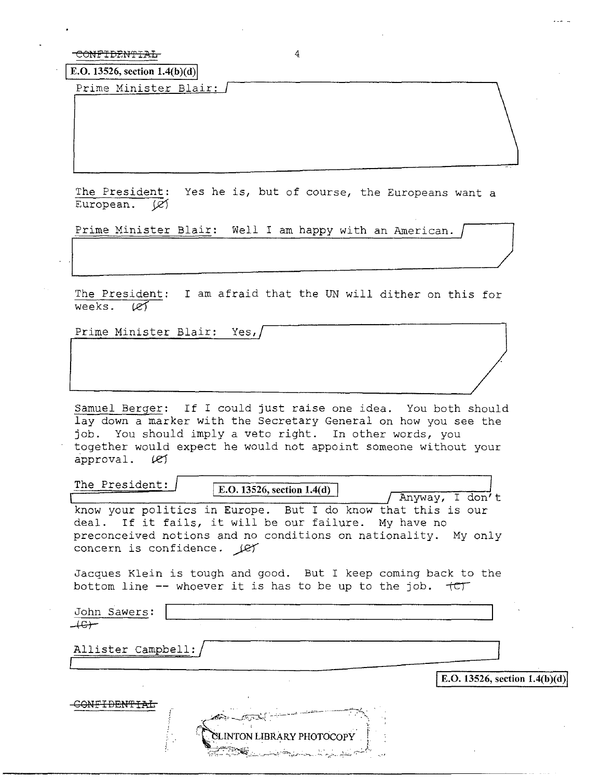$\boxed{\text{E.O. 13526, section 1.4(b)(d)}}$ 

Prime Minister Blair:

The President: Yes he is, but of course, the Europeans want a European.  $\mathcal{Q}$ 

Prime Minister Blair: Well I am happy with an American.

The President: I am afraid that the UN will dither on this for weeks.  $\angle \ell f$ weeks.

Prime Minister Blair: Yes,

Samuel Berger: If I could just raise one idea. You both should lay down a marker with the Secretary General on how you see the job. You should imply a veto right. In other words, you together would expect he would not appoint someone without your approval.  $\ell$ 

The President:  $\boxed{\text{E.O. 13526, section 1.4(d)}}$  Anyway, I don't

know your politics in Europe. But I do know that this is our deal. If it fails, it will be our failure. My have no preconceived notions and no conditions on nationality. My only concern is confidence.  $\text{LFT}$ 

Jacques Klein is tough and good. But I keep coming back to the bottom line  $-$ - whoever it is has to be up to the job.  $+CT$ 

John Sawers:  $+e+$ 

Allister Campbell:/

**E.O. 13526, section 1.4(b)(d)** CONFIDENTIAL **INTON LIBRARY PHOTOCOPY**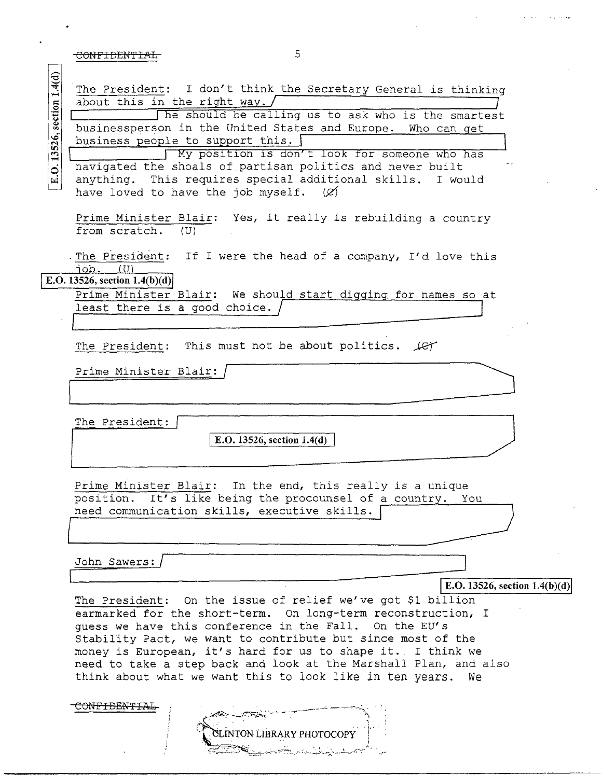| E.O. 13526, section 1.4(d) | The President: I don't think the Secretary General is thinking                                                          |
|----------------------------|-------------------------------------------------------------------------------------------------------------------------|
|                            | about this in the right way. /                                                                                          |
|                            | he should be calling us to ask who is the smartest                                                                      |
|                            | businessperson in the United States and Europe. Who can get                                                             |
|                            | business people to support this.                                                                                        |
|                            | My position is don't look for someone who has                                                                           |
|                            | navigated the shoals of partisan politics and never built<br>anything. This requires special additional skills. I would |
|                            | have loved to have the job myself. $(X)$                                                                                |
|                            |                                                                                                                         |
|                            | Prime Minister Blair: Yes, it really is rebuilding a country                                                            |
|                            | from scratch. (U)                                                                                                       |
|                            |                                                                                                                         |
|                            | . The President: If I were the head of a company, I'd love this                                                         |
|                            | iob.<br>(1)<br>E.O. 13526, section $1.4(b)(d)$                                                                          |
|                            | Prime Minister Blair: We should start digging for names so at                                                           |
|                            | least there is a good choice.                                                                                           |
|                            |                                                                                                                         |
|                            |                                                                                                                         |
|                            | The President: This must not be about politics. Let                                                                     |
|                            | Prime Minister Blair:                                                                                                   |
|                            |                                                                                                                         |
|                            |                                                                                                                         |
|                            |                                                                                                                         |
|                            | The President:                                                                                                          |
|                            | E.O. 13526, section $1.4(d)$                                                                                            |
|                            |                                                                                                                         |
|                            |                                                                                                                         |
|                            | Prime Minister Blair: In the end, this really is a unique                                                               |
|                            | position. It's like being the procounsel of a country. You<br>need communication skills, executive skills.              |
|                            |                                                                                                                         |
|                            |                                                                                                                         |
|                            |                                                                                                                         |
|                            | John Sawers:                                                                                                            |
|                            | E.O. 13526, section $1.4(b)(d)$                                                                                         |
|                            | The President: On the issue of relief we've got \$1 billion                                                             |
|                            | earmarked for the short-term. On long-term reconstruction, I                                                            |
|                            | quess we have this conference in the Fall. On the EU's                                                                  |
|                            | Stability Pact, we want to contribute but since most of the                                                             |
|                            | money is European, it's hard for us to shape it. I think we                                                             |
|                            | need to take a step back and look at the Marshall Plan, and also                                                        |
|                            | think about what we want this to look like in ten years.<br>We                                                          |
|                            |                                                                                                                         |
|                            | CONFIDENTIAL                                                                                                            |

イデー CLINTON LIBRARY PHOTOCOPY

 $\sim$  1.4  $\sim$ 

 $\hat{\mathbf{x}}$  is the same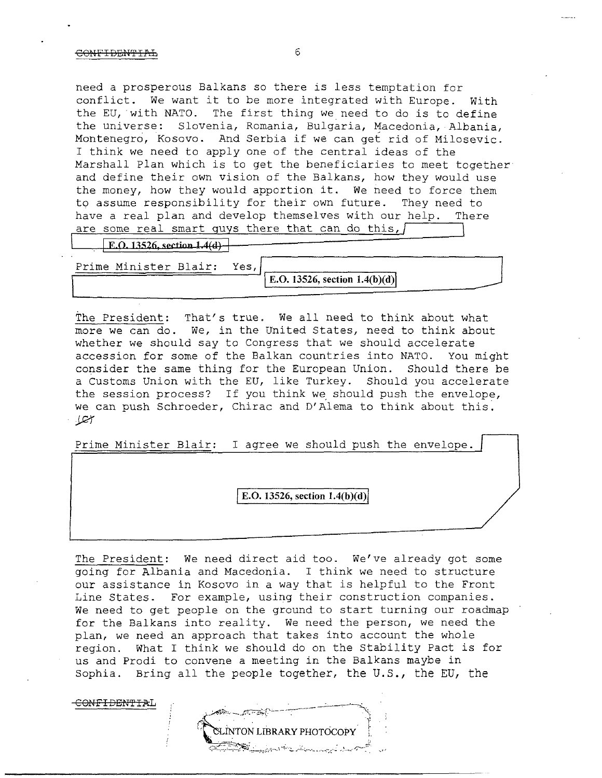CONF<del>IDENTIA</del>L

need a prosperous Balkans so there is less temptation for conflict. We want it to be more integrated with Europe. with the EU, with NATO. The first thing we need to do is to define the universe: Slovenia, Romania, Bulgaria, Macedonia, Albania, Montenegro, Kosovo. And Serbia if we can get rid of Milosevic. I think we need to apply one of the central ideas of the Marshall Plan which is to get the beneficiaries to meet together and define their own vision of the Balkans, how they would use the money, how they would apportion it. We need to force them to asswne responsibility for their own future. They need to have a real plan and develop themselves with our help. There are some real smart guys there that can do this,  $\sqrt{\frac{1}{1}}$ 

 $E. Q. 13526$ , section  $1.4(d)$ 

Prime Minister Blair: Yes, E.O. 13526, section 1.4(b)(d)

The President: That's true. We all need to think about what more we can do. *we,* in the United States, need to think about whether we should say to Congress that we should accelerate accession for some of the Balkan countries into NATO. You might consider the same thing for the European Union. Should there be a Customs Union with the EU, like Turkey. Should you accelerate the session process? If you think we should push the envelope, we can push Schroeder, Chirac and D'Alema to think about this.  $J$ 

Prime Minister Blair: I agree we should push the envelope.

E.O. 13526, section 1.4(b)(d)

The President: We need direct aid too. We've already got some going for Albania and Macedonia. I think we need to structure our assistance in Kosovo in a way that is helpful to the Front Line States. For example, using their construction companies. We need to get people on the ground to start turning our roadmap for the Balkans into reality. We need the person, we need the plan, we need an approach that takes into account the whole region. What I think we should do on the Stability Pact is for us and Prodi to convene a meeting in the Balkans maybe in Sophia. Bring all the people together, the U.S., the EU, the

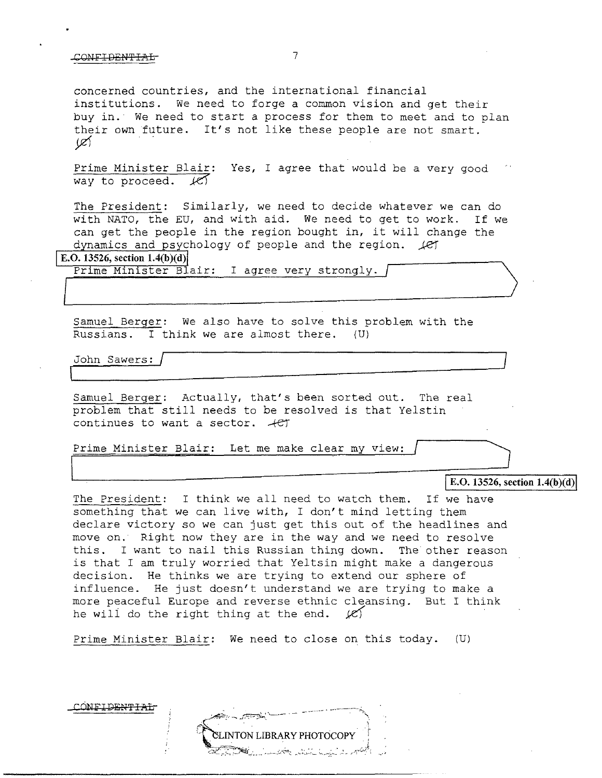concerned countries, and the international financial institutions. We need to forge a common vision and get their buy in. We need to start a process for them to meet and to plan their own future. It's not like these people are not smart.  $\mathscr{L}$ 

Prime Minister Blair: Yes, I agree that would be a very good way to proceed.  $\angle$ 

The President: Similarly, we need to decide whatever we can do with NATO, the EU, and with aid. We need to get to work. If we can get the people in the region bought in, it will change the dynamics and psychology of people and the region.  $\sqrt{ef}$ 

**E.O. 13526, section 1.4(b)(d)** 

Prime Minister Blair: I agree very strongly.

Samuel Berger: We also have to solve this problem with the Russians. I think we are almost there. (U)

John Sawers:  $\overline{\Box}$ / I

CONFIDENT<del>IAL</del>

Samuel Berger: Actually, that's been sorted out. The real problem that still needs to be resolved is that Yelstin continues to want a sector.  $+e\tau$ 

Prime Minister Blair: Let me make clear my view:

E.O. 13526, section 1.4(b)(d)

The President: I think we all need to watch them. If we have something that we can live with, I don't mind letting them declare victory so we can just get this out of the headlines and move on. Right now they are in the way and we need to resolve this. I want to nail this Russian thing down. The other reason is that I am truly worried that Yeltsin might make a dangerous decision. He thinks we are trying to extend our sphere of influence. He just doesn't understand we are trying to make a more peaceful Europe and reverse ethnic cleansing. But I think he will do the right thing at the end.  $|C\rangle$ 

Prime Minister Blair: We need to close on this today. (U)